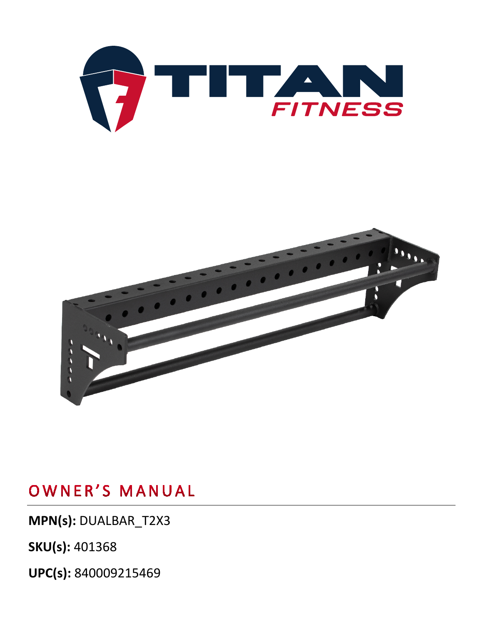



**MPN(s):** DUALBAR\_T2X3

**SKU(s):** 401368

**UPC(s):** 840009215469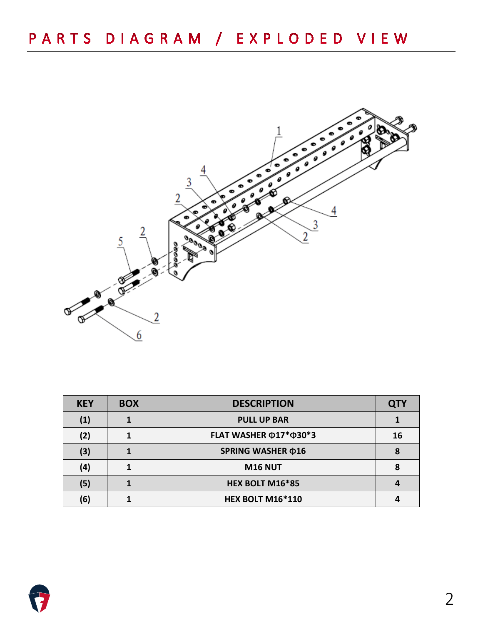

| <b>KEY</b> | <b>BOX</b> | <b>DESCRIPTION</b>                 | QTY |
|------------|------------|------------------------------------|-----|
| (1)        |            | <b>PULL UP BAR</b>                 |     |
| (2)        |            | FLAT WASHER $\Phi$ 17* $\Phi$ 30*3 | 16  |
| (3)        |            | SPRING WASHER ¢16                  |     |
| (4)        |            | <b>M16 NUT</b>                     | 8   |
| (5)        |            | HEX BOLT M16*85                    |     |
| (6)        |            | <b>HEX BOLT M16*110</b>            |     |